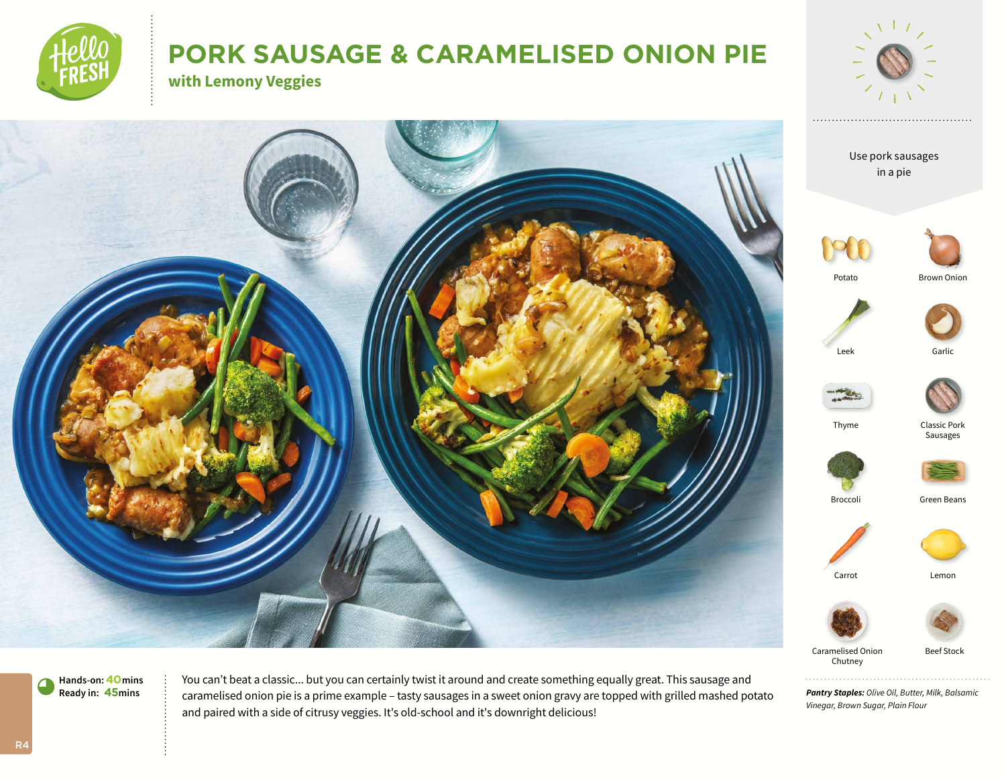

# **PORK SAUSAGE & CARAMELISED ONION PIE**

**with Lemony Veggies**



**Hands-on:40mins** 9**Ready in: 45mins**

You can't beat a classic... but you can certainly twist it around and create something equally great. This sausage and caramelised onion pie is a prime example – tasty sausages in a sweet onion gravy are topped with grilled mashed potato and paired with a side of citrusy veggies. It's old-school and it's downright delicious!

*Pantry Staples: Olive Oil, Butter, Milk, Balsamic Vinegar, Brown Sugar, Plain Flour*